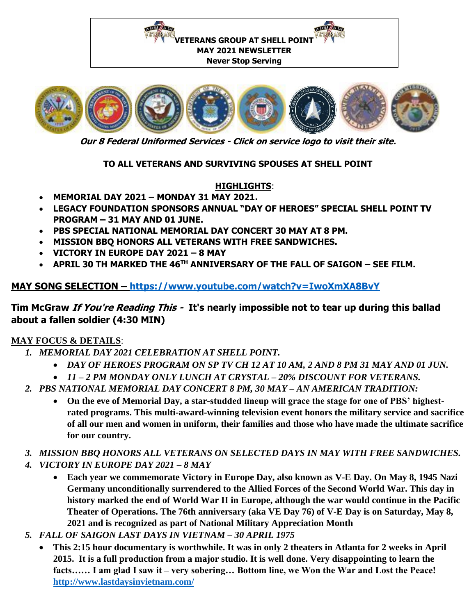



**Our 8 Federal Uniformed Services - Click on service logo to visit their site.**

### **TO ALL VETERANS AND SURVIVING SPOUSES AT SHELL POINT**

### **HIGHLIGHTS**:

- **MEMORIAL DAY 2021 – MONDAY 31 MAY 2021.**
- **LEGACY FOUNDATION SPONSORS ANNUAL "DAY OF HEROES" SPECIAL SHELL POINT TV PROGRAM – 31 MAY AND 01 JUNE.**
- **PBS SPECIAL NATIONAL MEMORIAL DAY CONCERT 30 MAY AT 8 PM.**
- **MISSION BBQ HONORS ALL VETERANS WITH FREE SANDWICHES.**
- **VICTORY IN EUROPE DAY 2021 – 8 MAY**
- **APRIL 30 TH MARKED THE 46TH ANNIVERSARY OF THE FALL OF SAIGON – SEE FILM.**

# **MAY SONG SELECTION – <https://www.youtube.com/watch?v=IwoXmXA8BvY>**

# **Tim McGraw If You're Reading This - It's nearly impossible not to tear up during this ballad about a fallen soldier (4:30 MIN)**

### **MAY FOCUS & DETAILS**:

- *1. MEMORIAL DAY 2021 CELEBRATION AT SHELL POINT.* 
	- *DAY OF HEROES PROGRAM ON SP TV CH 12 AT 10 AM, 2 AND 8 PM 31 MAY AND 01 JUN.*
	- *11 – 2 PM MONDAY ONLY LUNCH AT CRYSTAL – 20% DISCOUNT FOR VETERANS.*
- *2. PBS NATIONAL MEMORIAL DAY CONCERT 8 PM, 30 MAY – AN AMERICAN TRADITION:*
	- **On the eve of Memorial Day, a star-studded lineup will grace the stage for one of PBS' highestrated programs. This multi-award-winning television event honors the military service and sacrifice of all our men and women in uniform, their families and those who have made the ultimate sacrifice for our country.**
- *3. MISSION BBQ HONORS ALL VETERANS ON SELECTED DAYS IN MAY WITH FREE SANDWICHES.*
- *4. VICTORY IN EUROPE DAY 2021 – 8 MAY*
	- **Each year we commemorate Victory in Europe Day, also known as V-E Day. On May 8, 1945 Nazi Germany unconditionally surrendered to the Allied Forces of the Second World War. This day in history marked the end of World War II in Europe, although the war would continue in the Pacific Theater of Operations. The 76th anniversary (aka VE Day 76) of V-E Day is on Saturday, May 8, 2021 and is recognized as part of National Military Appreciation Month**
- *5. FALL OF SAIGON LAST DAYS IN VIETNAM – 30 APRIL 1975*
	- **This 2:15 hour documentary is worthwhile. It was in only 2 theaters in Atlanta for 2 weeks in April 2015. It is a full production from a major studio. It is well done. Very disappointing to learn the facts…… I am glad I saw it – very sobering… Bottom line, we Won the War and Lost the Peace! <http://www.lastdaysinvietnam.com/>**